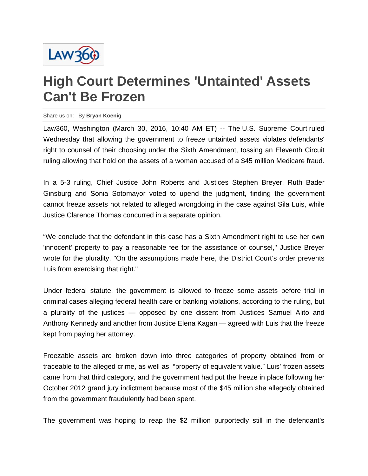

## **High Court Determines 'Untainted' Assets Can't Be Frozen**

## Share us on: By **Bryan Koenig**

Law360, Washington (March 30, 2016, 10:40 AM ET) -- The U.S. Supreme Court ruled Wednesday that allowing the government to freeze untainted assets violates defendants' right to counsel of their choosing under the Sixth Amendment, tossing an Eleventh Circuit ruling allowing that hold on the assets of a woman accused of a \$45 million Medicare fraud.

In a 5-3 ruling, Chief Justice John Roberts and Justices Stephen Breyer, Ruth Bader Ginsburg and Sonia Sotomayor voted to upend the judgment, finding the government cannot freeze assets not related to alleged wrongdoing in the case against Sila Luis, while Justice Clarence Thomas concurred in a separate opinion.

"We conclude that the defendant in this case has a Sixth Amendment right to use her own 'innocent' property to pay a reasonable fee for the assistance of counsel," Justice Breyer wrote for the plurality. "On the assumptions made here, the District Court's order prevents Luis from exercising that right."

Under federal statute, the government is allowed to freeze some assets before trial in criminal cases alleging federal health care or banking violations, according to the ruling, but a plurality of the justices — opposed by one dissent from Justices Samuel Alito and Anthony Kennedy and another from Justice Elena Kagan — agreed with Luis that the freeze kept from paying her attorney.

Freezable assets are broken down into three categories of property obtained from or traceable to the alleged crime, as well as "property of equivalent value." Luis' frozen assets came from that third category, and the government had put the freeze in place following her October 2012 grand jury indictment because most of the \$45 million she allegedly obtained from the government fraudulently had been spent.

The government was hoping to reap the \$2 million purportedly still in the defendant's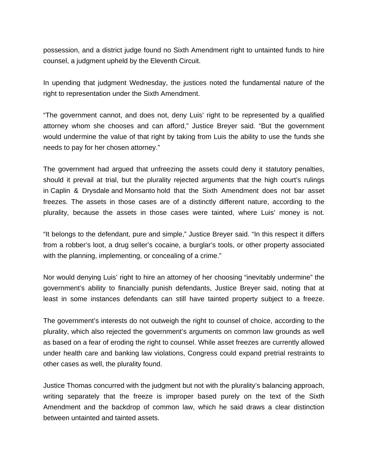possession, and a district judge found no Sixth Amendment right to untainted funds to hire counsel, a judgment upheld by the Eleventh Circuit.

In upending that judgment Wednesday, the justices noted the fundamental nature of the right to representation under the Sixth Amendment.

"The government cannot, and does not, deny Luis' right to be represented by a qualified attorney whom she chooses and can afford," Justice Breyer said. "But the government would undermine the value of that right by taking from Luis the ability to use the funds she needs to pay for her chosen attorney."

The government had argued that unfreezing the assets could deny it statutory penalties, should it prevail at trial, but the plurality rejected arguments that the high court's rulings in Caplin & Drysdale and Monsanto hold that the Sixth Amendment does not bar asset freezes. The assets in those cases are of a distinctly different nature, according to the plurality, because the assets in those cases were tainted, where Luis' money is not.

"It belongs to the defendant, pure and simple," Justice Breyer said. "In this respect it differs from a robber's loot, a drug seller's cocaine, a burglar's tools, or other property associated with the planning, implementing, or concealing of a crime."

Nor would denying Luis' right to hire an attorney of her choosing "inevitably undermine" the government's ability to financially punish defendants, Justice Breyer said, noting that at least in some instances defendants can still have tainted property subject to a freeze.

The government's interests do not outweigh the right to counsel of choice, according to the plurality, which also rejected the government's arguments on common law grounds as well as based on a fear of eroding the right to counsel. While asset freezes are currently allowed under health care and banking law violations, Congress could expand pretrial restraints to other cases as well, the plurality found.

Justice Thomas concurred with the judgment but not with the plurality's balancing approach, writing separately that the freeze is improper based purely on the text of the Sixth Amendment and the backdrop of common law, which he said draws a clear distinction between untainted and tainted assets.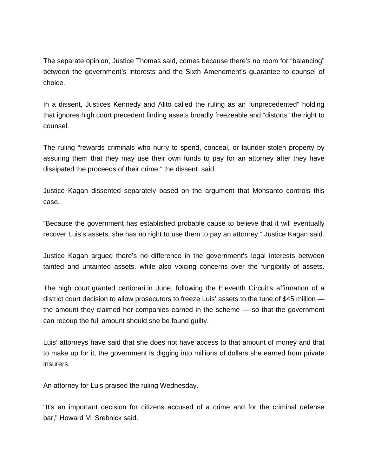The separate opinion, Justice Thomas said, comes because there's no room for "balancing" between the government's interests and the Sixth Amendment's guarantee to counsel of choice.

In a dissent, Justices Kennedy and Alito called the ruling as an "unprecedented" holding that ignores high court precedent finding assets broadly freezeable and "distorts" the right to counsel.

The ruling "rewards criminals who hurry to spend, conceal, or launder stolen property by assuring them that they may use their own funds to pay for an attorney after they have dissipated the proceeds of their crime," the dissent said.

Justice Kagan dissented separately based on the argument that Monsanto controls this case.

"Because the government has established probable cause to believe that it will eventually recover Luis's assets, she has no right to use them to pay an attorney," Justice Kagan said.

Justice Kagan argued there's no difference in the government's legal interests between tainted and untainted assets, while also voicing concerns over the fungibility of assets.

The high court granted certiorari in June, following the Eleventh Circuit's affirmation of a district court decision to allow prosecutors to freeze Luis' assets to the tune of \$45 million the amount they claimed her companies earned in the scheme — so that the government can recoup the full amount should she be found guilty.

Luis' attorneys have said that she does not have access to that amount of money and that to make up for it, the government is digging into millions of dollars she earned from private insurers.

An attorney for Luis praised the ruling Wednesday.

"It's an important decision for citizens accused of a crime and for the criminal defense bar," Howard M. Srebnick said.